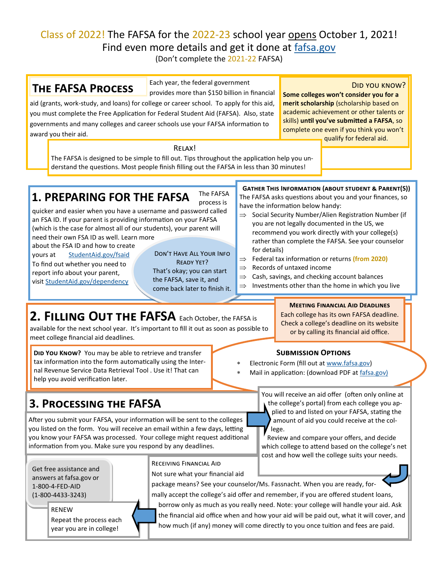# Class of 2022! The FAFSA for the 2022-23 school year opens October 1, 2021! Find even more details and get it done at [fafsa.gov](http://www.fafsa.gov)

(Don't complete the 2021-22 FAFSA)

## **The FAFSA Process**

Each year, the federal government

Did you know?

provides more than \$150 billion in financial aid (grants, work-study, and loans) for college or career school. To apply for this aid, you must complete the Free Application for Federal Student Aid (FAFSA). Also, state governments and many colleges and career schools use your FAFSA information to award you their aid.

**Some colleges won't consider you for a merit scholarship** (scholarship based on academic achievement or other talents or skills) **until you've submitted a FAFSA**, so complete one even if you think you won't qualify for federal aid.

Relax!

The FAFSA is designed to be simple to fill out. Tips throughout the application help you understand the questions. Most people finish filling out the FAFSA in less than 30 minutes!

#### The FAFSA **1. PREPARING FOR THE FAFSA**

process is quicker and easier when you have a username and password called an FSA ID. If your parent is providing information on your FAFSA (which is the case for almost all of our students), your parent will

need their own FSA ID as well. Learn more

about the FSA ID and how to create yours at [StudentAid.gov/fsaid](http://www.StudentAid.gov/fsaid) To find out whether you need to report info about your parent, visit [StudentAid.gov/dependency](http://www.StudentAid.gov/dependency)

Don't Have All Your Info Ready Yet? That's okay; you can start

the FAFSA, save it, and come back later to finish it.

### **Gather This Information (about student & Parent(S))** The FAFSA asks questions about you and your finances, so have the information below handy:

- $\Rightarrow$  Social Security Number/Alien Registration Number (if you are not legally documented in the US, we recommend you work directly with your college(s) rather than complete the FAFSA. See your counselor for details)
- Federal tax information or returns **(from 2020)**
- $\Rightarrow$  Records of untaxed income
- $\Rightarrow$  Cash, savings, and checking account balances

**Submission Options** Electronic Form (fill out at [www.fafsa.gov\)](http://www.fafsa.gov)

Mail in application: (download PDF at [fafsa.gov\)](http://www.fafsa.gov)

 $\Rightarrow$  Investments other than the home in which you live

**Meeting Financial Aid Deadlines** Each college has its own FAFSA deadline. Check a college's deadline on its website or by calling its financial aid office.

# **2. Filling Out the FAFSA** Each October, the FAFSA is

available for the next school year. It's important to fill it out as soon as possible to meet college financial aid deadlines.

**DID YOU KNOW?** You may be able to retrieve and transfer tax information into the form automatically using the Internal Revenue Service Data Retrieval Tool . Use it! That can help you avoid verification later.

## **3. Processing the FAFSA**

After you submit your FAFSA, your information will be sent to the colleges you listed on the form. You will receive an email within a few days, letting you know your FAFSA was processed. Your college might request additional information from you. Make sure you respond by any deadlines.

Get free assistance and answers at fafsa.gov or 1-800-4-FED-AID (1-800-4433-3243)

> RENEW Repeat the process each year you are in college!

### Receiving Financial Aid





Review and compare your offers, and decide

You will receive an aid offer (often only online at the college's portal) from each college you applied to and listed on your FAFSA, stating the amount of aid you could receive at the col-



package means? See your counselor/Ms. Fassnacht. When you are ready, formally accept the college's aid offer and remember, if you are offered student loans, borrow only as much as you really need. Note: your college will handle your aid. Ask the financial aid office when and how your aid will be paid out, what it will cover, and

lege.

how much (if any) money will come directly to you once tuition and fees are paid.